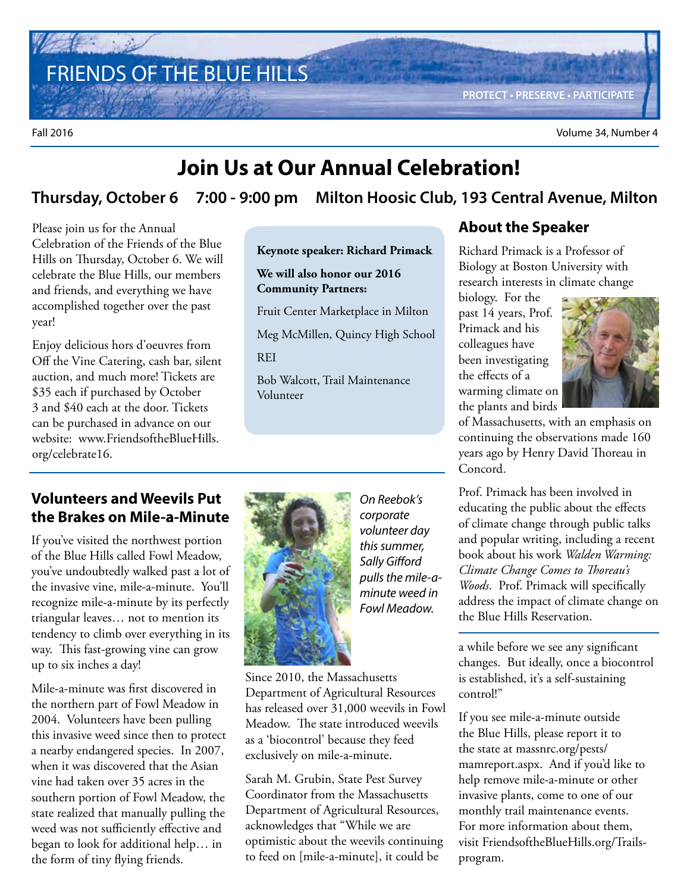FRIENDS OF THE BLUE HILLS

**PROTECT • PRESERVE • PARTICIPATE**

Fall 2016 Volume 34, Number 4

### **Join Us at Our Annual Celebration!**

#### **Thursday, October 6 7:00 - 9:00 pm Milton Hoosic Club, 193 Central Avenue, Milton**

Please join us for the Annual Celebration of the Friends of the Blue Hills on Thursday, October 6. We will celebrate the Blue Hills, our members and friends, and everything we have accomplished together over the past year!

Enjoy delicious hors d'oeuvres from Off the Vine Catering, cash bar, silent auction, and much more! Tickets are \$35 each if purchased by October 3 and \$40 each at the door. Tickets can be purchased in advance on our website: www.FriendsoftheBlueHills. org/celebrate16.

#### **Keynote speaker: Richard Primack**

**We will also honor our 2016 Community Partners:**

Fruit Center Marketplace in Milton

Meg McMillen, Quincy High School

**REI** 

Bob Walcott, Trail Maintenance Volunteer

#### **About the Speaker**

Richard Primack is a Professor of Biology at Boston University with research interests in climate change

biology. For the past 14 years, Prof. Primack and his colleagues have been investigating the effects of a warming climate on the plants and birds



of Massachusetts, with an emphasis on continuing the observations made 160 years ago by Henry David Thoreau in Concord.

#### Prof. Primack has been involved in educating the public about the effects of climate change through public talks and popular writing, including a recent book about his work *Walden Warming: Climate Change Comes to Thoreau's Woods*. Prof. Primack will specifically address the impact of climate change on the Blue Hills Reservation.

a while before we see any significant changes. But ideally, once a biocontrol is established, it's a self-sustaining control!"

If you see mile-a-minute outside the Blue Hills, please report it to the state at massnrc.org/pests/ mamreport.aspx. And if you'd like to help remove mile-a-minute or other invasive plants, come to one of our monthly trail maintenance events. For more information about them, visit FriendsoftheBlueHills.org/Trailsprogram.

#### **Volunteers and Weevils Put the Brakes on Mile-a-Minute**

If you've visited the northwest portion of the Blue Hills called Fowl Meadow, you've undoubtedly walked past a lot of the invasive vine, mile-a-minute. You'll recognize mile-a-minute by its perfectly triangular leaves… not to mention its tendency to climb over everything in its way. This fast-growing vine can grow up to six inches a day!

Mile-a-minute was first discovered in the northern part of Fowl Meadow in 2004. Volunteers have been pulling this invasive weed since then to protect a nearby endangered species. In 2007, when it was discovered that the Asian vine had taken over 35 acres in the southern portion of Fowl Meadow, the state realized that manually pulling the weed was not sufficiently effective and began to look for additional help… in the form of tiny flying friends.



On Reebok's corporate volunteer day this summer, Sally Gifford pulls the mile-aminute weed in Fowl Meadow.

Since 2010, the Massachusetts Department of Agricultural Resources has released over 31,000 weevils in Fowl Meadow. The state introduced weevils as a 'biocontrol' because they feed exclusively on mile-a-minute.

Sarah M. Grubin, State Pest Survey Coordinator from the Massachusetts Department of Agricultural Resources, acknowledges that "While we are optimistic about the weevils continuing to feed on [mile-a-minute], it could be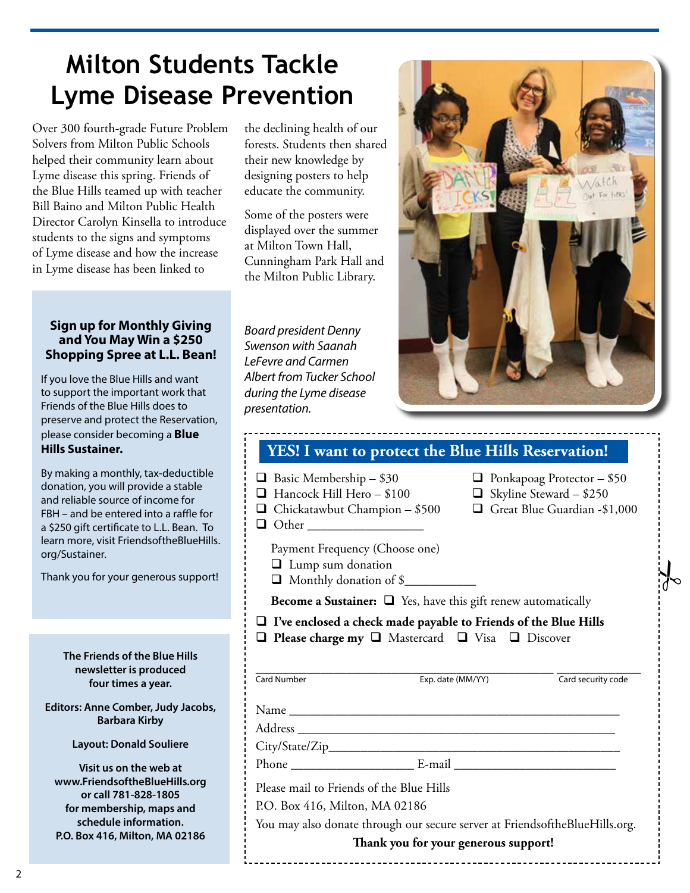# **Milton Students Tackle Lyme Disease Prevention**

Over 300 fourth-grade Future Problem Solvers from Milton Public Schools helped their community learn about Lyme disease this spring. Friends of the Blue Hills teamed up with teacher Bill Baino and Milton Public Health Director Carolyn Kinsella to introduce students to the signs and symptoms of Lyme disease and how the increase in Lyme disease has been linked to

the declining health of our forests. Students then shared their new knowledge by designing posters to help educate the community.

Some of the posters were displayed over the summer at Milton Town Hall, Cunningham Park Hall and the Milton Public Library.

#### **Sign up for Monthly Giving and You May Win a \$250 Shopping Spree at L.L. Bean!**

If you love the Blue Hills and want to support the important work that Friends of the Blue Hills does to preserve and protect the Reservation, please consider becoming a **Blue Hills Sustainer.** 

By making a monthly, tax-deductible donation, you will provide a stable and reliable source of income for FBH – and be entered into a raffle for a \$250 gift certificate to L.L. Bean. To learn more, visit FriendsoftheBlueHills. org/Sustainer.

Thank you for your generous support!

**The Friends of the Blue Hills newsletter is produced four times a year.**

**Editors: Anne Comber, Judy Jacobs, Barbara Kirby**

**Layout: Donald Souliere**

**Visit us on the web at www.FriendsoftheBlueHills.org or call 781-828-1805 for membership, maps and schedule information. P.O. Box 416, Milton, MA 02186**

Board president Denny Swenson with Saanah LeFevre and Carmen Albert from Tucker School during the Lyme disease presentation.



| YES! I want to protect the Blue Hills Reservation!                                                    |                                                                                                     |
|-------------------------------------------------------------------------------------------------------|-----------------------------------------------------------------------------------------------------|
| $\Box$ Basic Membership - \$30<br>Hancock Hill Hero - \$100<br>Chickatawbut Champion - \$500<br>Other | $\Box$ Ponkapoag Protector - \$50<br>$\Box$ Skyline Steward - \$250<br>Great Blue Guardian -\$1,000 |
| Payment Frequency (Choose one)<br><b>I</b> Lump sum donation<br>Monthly donation of \$                |                                                                                                     |
| <b>Become a Sustainer:</b> $\Box$ Yes, have this gift renew automatically                             |                                                                                                     |
| $\Box$ Please charge my $\Box$ Mastercard $\Box$ Visa $\Box$ Discover<br><b>Card Number</b>           | Exp. date (MM/YY)<br>Card security code                                                             |
|                                                                                                       |                                                                                                     |
|                                                                                                       |                                                                                                     |
|                                                                                                       |                                                                                                     |
|                                                                                                       |                                                                                                     |
|                                                                                                       |                                                                                                     |
| Please mail to Friends of the Blue Hills                                                              |                                                                                                     |
| P.O. Box 416, Milton, MA 02186                                                                        |                                                                                                     |
|                                                                                                       | You may also donate through our secure server at FriendsoftheBlueHills.org.                         |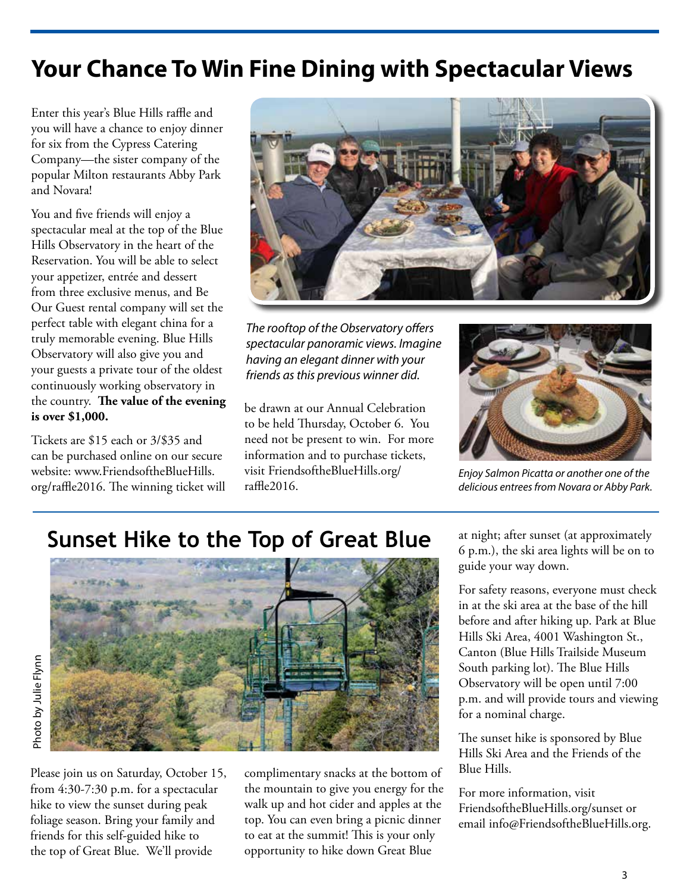## **Your Chance To Win Fine Dining with Spectacular Views**

Enter this year's Blue Hills raffle and you will have a chance to enjoy dinner for six from the Cypress Catering Company—the sister company of the popular Milton restaurants Abby Park and Novara!

You and five friends will enjoy a spectacular meal at the top of the Blue Hills Observatory in the heart of the Reservation. You will be able to select your appetizer, entrée and dessert from three exclusive menus, and Be Our Guest rental company will set the perfect table with elegant china for a truly memorable evening. Blue Hills Observatory will also give you and your guests a private tour of the oldest continuously working observatory in the country. **The value of the evening is over \$1,000.** 

Tickets are \$15 each or 3/\$35 and can be purchased online on our secure website: www.FriendsoftheBlueHills. org/raffle2016. The winning ticket will



The rooftop of the Observatory offers spectacular panoramic views. Imagine having an elegant dinner with your friends as this previous winner did.

be drawn at our Annual Celebration to be held Thursday, October 6. You need not be present to win. For more information and to purchase tickets, visit FriendsoftheBlueHills.org/ raffle2016.



Enjoy Salmon Picatta or another one of the delicious entrees from Novara or Abby Park.

## **Sunset Hike to the Top of Great Blue**



Please join us on Saturday, October 15, from 4:30-7:30 p.m. for a spectacular hike to view the sunset during peak foliage season. Bring your family and friends for this self-guided hike to the top of Great Blue. We'll provide

complimentary snacks at the bottom of the mountain to give you energy for the walk up and hot cider and apples at the top. You can even bring a picnic dinner to eat at the summit! This is your only opportunity to hike down Great Blue

at night; after sunset (at approximately 6 p.m.), the ski area lights will be on to guide your way down.

For safety reasons, everyone must check in at the ski area at the base of the hill before and after hiking up. Park at Blue Hills Ski Area, 4001 Washington St., Canton (Blue Hills Trailside Museum South parking lot). The Blue Hills Observatory will be open until 7:00 p.m. and will provide tours and viewing for a nominal charge.

The sunset hike is sponsored by Blue Hills Ski Area and the Friends of the Blue Hills.

For more information, visit FriendsoftheBlueHills.org/sunset or email info@FriendsoftheBlueHills.org.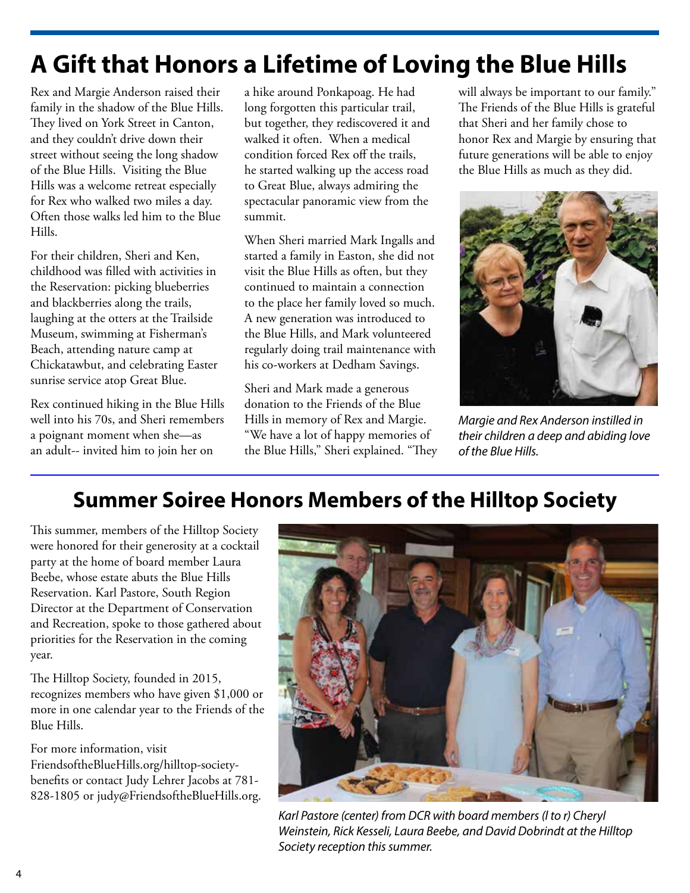# **A Gift that Honors a Lifetime of Loving the Blue Hills**

Rex and Margie Anderson raised their family in the shadow of the Blue Hills. They lived on York Street in Canton, and they couldn't drive down their street without seeing the long shadow of the Blue Hills. Visiting the Blue Hills was a welcome retreat especially for Rex who walked two miles a day. Often those walks led him to the Blue Hills.

For their children, Sheri and Ken, childhood was filled with activities in the Reservation: picking blueberries and blackberries along the trails, laughing at the otters at the Trailside Museum, swimming at Fisherman's Beach, attending nature camp at Chickatawbut, and celebrating Easter sunrise service atop Great Blue.

Rex continued hiking in the Blue Hills well into his 70s, and Sheri remembers a poignant moment when she—as an adult-- invited him to join her on

a hike around Ponkapoag. He had long forgotten this particular trail, but together, they rediscovered it and walked it often. When a medical condition forced Rex off the trails, he started walking up the access road to Great Blue, always admiring the spectacular panoramic view from the summit.

When Sheri married Mark Ingalls and started a family in Easton, she did not visit the Blue Hills as often, but they continued to maintain a connection to the place her family loved so much. A new generation was introduced to the Blue Hills, and Mark volunteered regularly doing trail maintenance with his co-workers at Dedham Savings.

Sheri and Mark made a generous donation to the Friends of the Blue Hills in memory of Rex and Margie. "We have a lot of happy memories of the Blue Hills," Sheri explained. "They will always be important to our family." The Friends of the Blue Hills is grateful that Sheri and her family chose to honor Rex and Margie by ensuring that future generations will be able to enjoy the Blue Hills as much as they did.



Margie and Rex Anderson instilled in their children a deep and abiding love of the Blue Hills.

## **Summer Soiree Honors Members of the Hilltop Society**

This summer, members of the Hilltop Society were honored for their generosity at a cocktail party at the home of board member Laura Beebe, whose estate abuts the Blue Hills Reservation. Karl Pastore, South Region Director at the Department of Conservation and Recreation, spoke to those gathered about priorities for the Reservation in the coming year.

The Hilltop Society, founded in 2015, recognizes members who have given \$1,000 or more in one calendar year to the Friends of the Blue Hills.

For more information, visit FriendsoftheBlueHills.org/hilltop-societybenefits or contact Judy Lehrer Jacobs at 781- 828-1805 or judy@FriendsoftheBlueHills.org.



Karl Pastore (center) from DCR with board members (l to r) Cheryl Weinstein, Rick Kesseli, Laura Beebe, and David Dobrindt at the Hilltop Society reception this summer.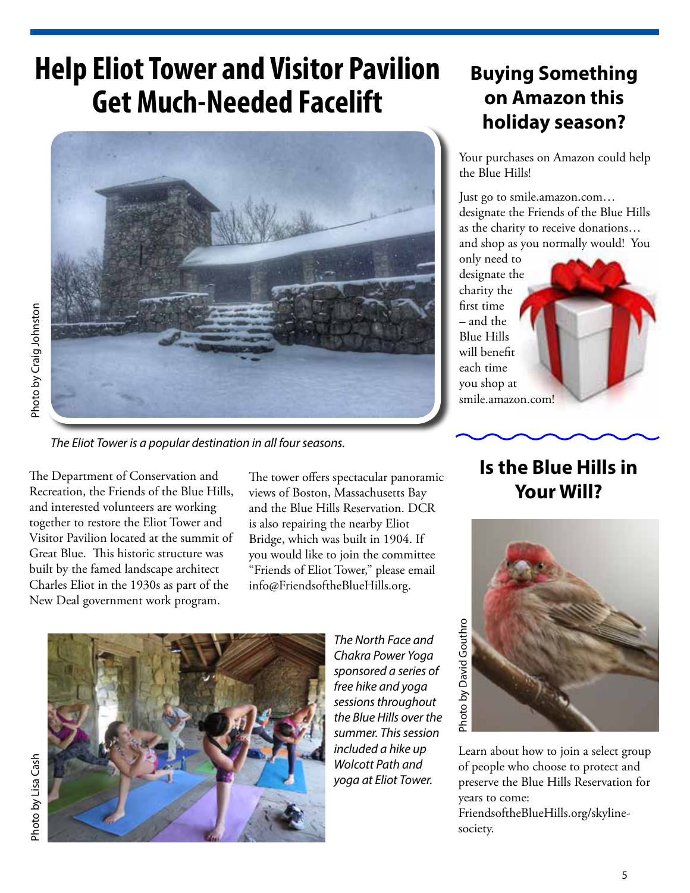# **Help Eliot Tower and Visitor Pavilion Get Much-Needed Facelift**



The Eliot Tower is a popular destination in all four seasons.

The Department of Conservation and Recreation, the Friends of the Blue Hills, and interested volunteers are working together to restore the Eliot Tower and Visitor Pavilion located at the summit of Great Blue. This historic structure was built by the famed landscape architect Charles Eliot in the 1930s as part of the New Deal government work program. uotsulon by Lisa Cash Photo by Lisa Constants Cash Photo by Craig Johnston Burnston Burnston Die Johnston Die C

The tower offers spectacular panoramic views of Boston, Massachusetts Bay and the Blue Hills Reservation. DCR is also repairing the nearby Eliot Bridge, which was built in 1904. If you would like to join the committee "Friends of Eliot Tower," please email info@FriendsoftheBlueHills.org.

# Photo by Lisa Cash



The North Face and Chakra Power Yoga sponsored a series of free hike and yoga sessions throughout the Blue Hills over the summer. This session included a hike up Wolcott Path and yoga at Eliot Tower.

## **Buying Something on Amazon this holiday season?**

Your purchases on Amazon could help the Blue Hills!

Just go to smile.amazon.com… designate the Friends of the Blue Hills as the charity to receive donations… and shop as you normally would! You

only need to designate the charity the first time – and the Blue Hills will benefit each time you shop at smile.amazon.com!

### **Is the Blue Hills in Your Will?**



Learn about how to join a select group of people who choose to protect and preserve the Blue Hills Reservation for years to come: FriendsoftheBlueHills.org/skylinesociety.